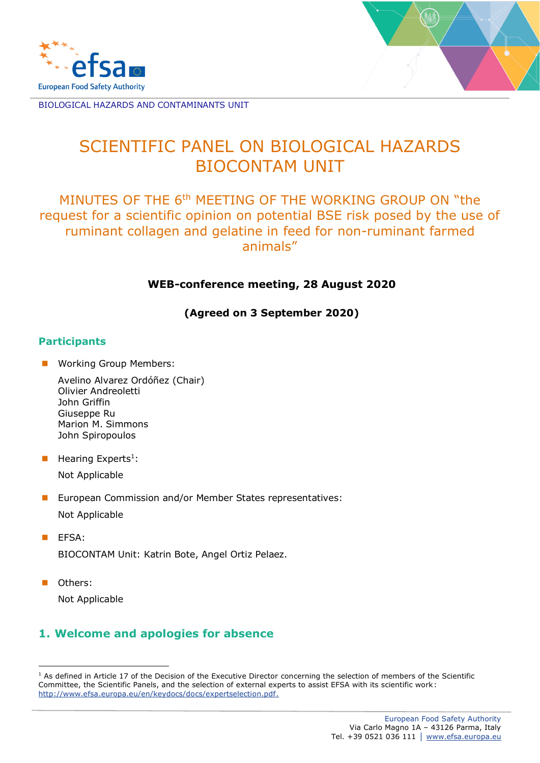



# SCIENTIFIC PANEL ON BIOLOGICAL HAZARDS BIOCONTAM UNIT

MINUTES OF THE 6<sup>th</sup> MEETING OF THE WORKING GROUP ON "the request for a scientific opinion on potential BSE risk posed by the use of ruminant collagen and gelatine in feed for non-ruminant farmed animals"

#### **WEB-conference meeting, 28 August 2020**

**(Agreed on 3 September 2020)**

#### **Participants**

- Working Group Members:
	- Avelino Alvarez Ordóñez (Chair) Olivier Andreoletti John Griffin Giuseppe Ru Marion M. Simmons John Spiropoulos
- **E** Hearing Experts<sup>1</sup>: Not Applicable
- European Commission and/or Member States representatives: Not Applicable
- EFSA: BIOCONTAM Unit: Katrin Bote, Angel Ortiz Pelaez.
- Others:

Not Applicable

## **1. Welcome and apologies for absence**

<sup>&</sup>lt;sup>1</sup> As defined in Article 17 of the Decision of the Executive Director concerning the selection of members of the Scientific Committee, the Scientific Panels, and the selection of external experts to assist EFSA with its scientific work: [http://www.efsa.europa.eu/en/keydocs/docs/expertselection.pdf.](http://www.efsa.europa.eu/en/keydocs/docs/expertselection.pdf)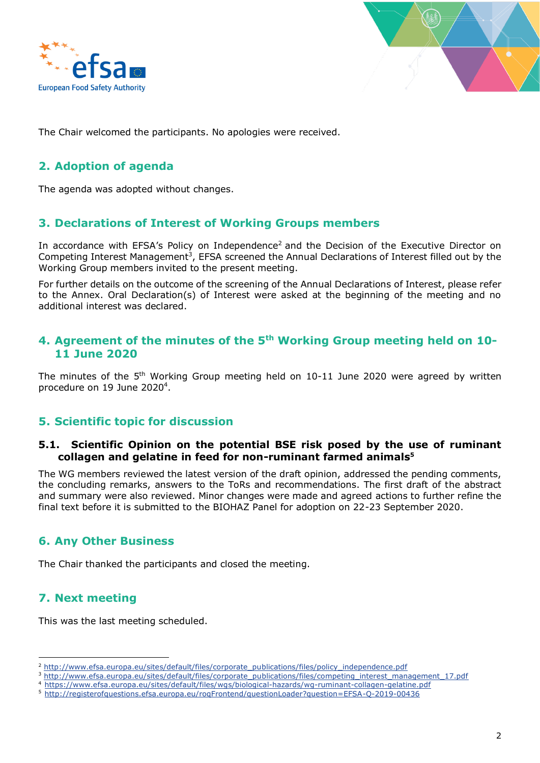



The Chair welcomed the participants. No apologies were received.

### **2. Adoption of agenda**

The agenda was adopted without changes.

#### **3. Declarations of Interest of Working Groups members**

In accordance with EFSA's Policy on Independence<sup>2</sup> and the Decision of the Executive Director on Competing Interest Management<sup>3</sup>, EFSA screened the Annual Declarations of Interest filled out by the Working Group members invited to the present meeting.

For further details on the outcome of the screening of the Annual Declarations of Interest, please refer to the Annex. Oral Declaration(s) of Interest were asked at the beginning of the meeting and no additional interest was declared.

#### **4. Agreement of the minutes of the 5th Working Group meeting held on 10- 11 June 2020**

The minutes of the  $5<sup>th</sup>$  Working Group meeting held on 10-11 June 2020 were agreed by written procedure on 19 June 2020<sup>4</sup>.

#### **5. Scientific topic for discussion**

#### **5.1. Scientific Opinion on the potential BSE risk posed by the use of ruminant collagen and gelatine in feed for non-ruminant farmed animals<sup>5</sup>**

The WG members reviewed the latest version of the draft opinion, addressed the pending comments, the concluding remarks, answers to the ToRs and recommendations. The first draft of the abstract and summary were also reviewed. Minor changes were made and agreed actions to further refine the final text before it is submitted to the BIOHAZ Panel for adoption on 22-23 September 2020.

#### **6. Any Other Business**

The Chair thanked the participants and closed the meeting.

#### **7. Next meeting**

This was the last meeting scheduled.

<sup>&</sup>lt;sup>2</sup> [http://www.efsa.europa.eu/sites/default/files/corporate\\_publications/files/policy\\_independence.pdf](http://www.efsa.europa.eu/sites/default/files/corporate_publications/files/policy_independence.pdf)

<sup>&</sup>lt;sup>3</sup> [http://www.efsa.europa.eu/sites/default/files/corporate\\_publications/files/competing\\_interest\\_management\\_17.pdf](http://www.efsa.europa.eu/sites/default/files/corporate_publications/files/competing_interest_management_17.pdf)

<sup>4</sup> <https://www.efsa.europa.eu/sites/default/files/wgs/biological-hazards/wg-ruminant-collagen-gelatine.pdf>

<sup>5</sup> <http://registerofquestions.efsa.europa.eu/roqFrontend/questionLoader?question=EFSA-Q-2019-00436>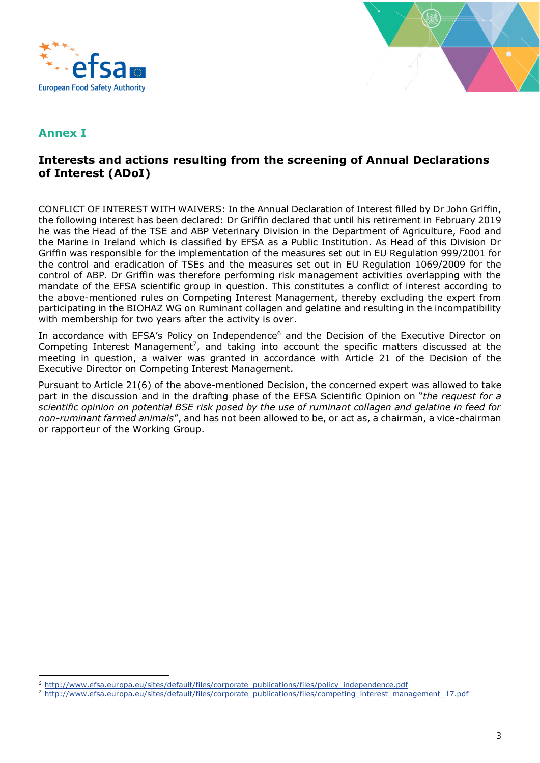



### **Annex I**

### **Interests and actions resulting from the screening of Annual Declarations of Interest (ADoI)**

CONFLICT OF INTEREST WITH WAIVERS: In the Annual Declaration of Interest filled by Dr John Griffin, the following interest has been declared: Dr Griffin declared that until his retirement in February 2019 he was the Head of the TSE and ABP Veterinary Division in the Department of Agriculture, Food and the Marine in Ireland which is classified by EFSA as a Public Institution. As Head of this Division Dr Griffin was responsible for the implementation of the measures set out in EU Regulation 999/2001 for the control and eradication of TSEs and the measures set out in EU Regulation 1069/2009 for the control of ABP. Dr Griffin was therefore performing risk management activities overlapping with the mandate of the EFSA scientific group in question. This constitutes a conflict of interest according to the above-mentioned rules on Competing Interest Management, thereby excluding the expert from participating in the BIOHAZ WG on Ruminant collagen and gelatine and resulting in the incompatibility with membership for two years after the activity is over.

In accordance with EFSA's Policy on Independence<sup>6</sup> and the Decision of the Executive Director on Competing Interest Management<sup>7</sup>, and taking into account the specific matters discussed at the meeting in question, a waiver was granted in accordance with Article 21 of the Decision of the Executive Director on Competing Interest Management.

Pursuant to Article 21(6) of the above-mentioned Decision, the concerned expert was allowed to take part in the discussion and in the drafting phase of the EFSA Scientific Opinion on "*the request for a scientific opinion on potential BSE risk posed by the use of ruminant collagen and gelatine in feed for non-ruminant farmed animals*", and has not been allowed to be, or act as, a chairman, a vice-chairman or rapporteur of the Working Group.

<sup>6</sup> [http://www.efsa.europa.eu/sites/default/files/corporate\\_publications/files/policy\\_independence.pdf](http://www.efsa.europa.eu/sites/default/files/corporate_publications/files/policy_independence.pdf)

<sup>&</sup>lt;sup>7</sup> [http://www.efsa.europa.eu/sites/default/files/corporate\\_publications/files/competing\\_interest\\_management\\_17.pdf](http://www.efsa.europa.eu/sites/default/files/corporate_publications/files/competing_interest_management_17.pdf)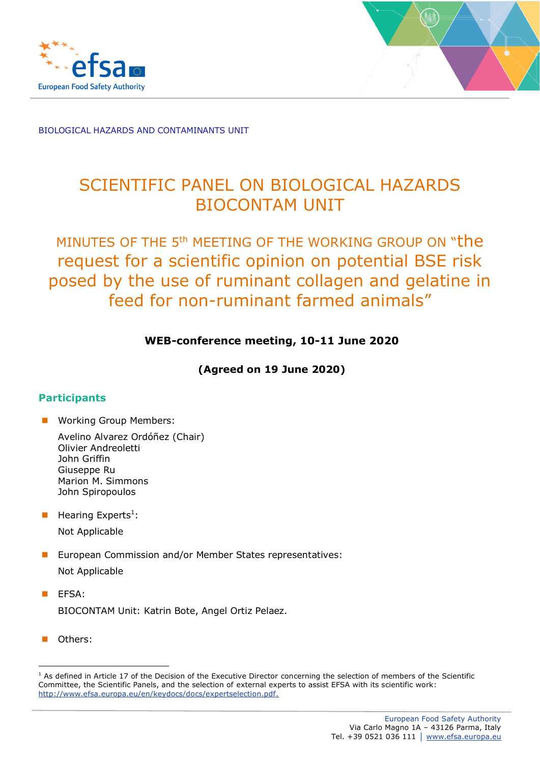



# SCIENTIFIC PANEL ON BIOLOGICAL HAZARDS BIOCONTAM UNIT

# MINUTES OF THE 5<sup>th</sup> MEETING OF THE WORKING GROUP ON "the request for a scientific opinion on potential BSE risk posed by the use of ruminant collagen and gelatine in feed for non-ruminant farmed animals"

#### **WEB-conference meeting, 10-11 June 2020**

**(Agreed on 19 June 2020)**

#### **Participants**

■ Working Group Members:

- **E** Hearing Experts<sup>1</sup>:
	- Not Applicable
- European Commission and/or Member States representatives: Not Applicable
- EFSA: BIOCONTAM Unit: Katrin Bote, Angel Ortiz Pelaez.
- Others:

<sup>&</sup>lt;sup>1</sup> As defined in Article 17 of the Decision of the Executive Director concerning the selection of members of the Scientific Committee, the Scientific Panels, and the selection of external experts to assist EFSA with its scientific work: [http://www.efsa.europa.eu/en/keydocs/docs/expertselection.pdf.](http://www.efsa.europa.eu/en/keydocs/docs/expertselection.pdf)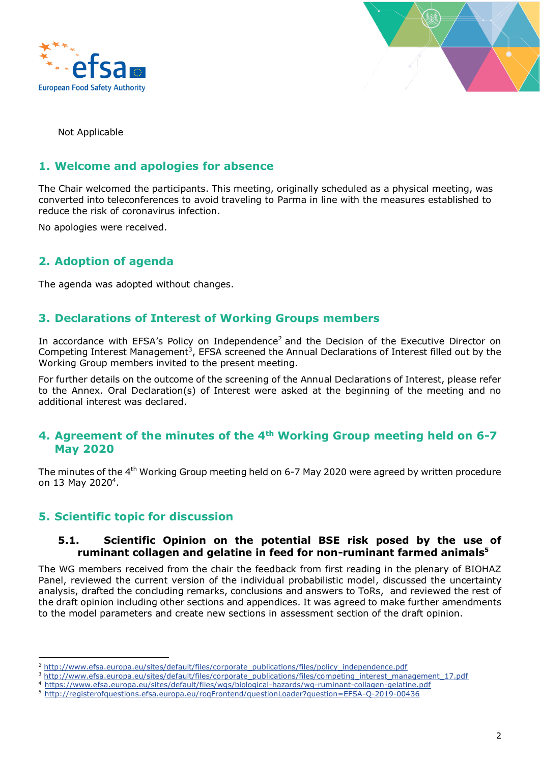



Not Applicable

#### **1. Welcome and apologies for absence**

The Chair welcomed the participants. This meeting, originally scheduled as a physical meeting, was converted into teleconferences to avoid traveling to Parma in line with the measures established to reduce the risk of coronavirus infection.

No apologies were received.

#### **2. Adoption of agenda**

The agenda was adopted without changes.

#### **3. Declarations of Interest of Working Groups members**

In accordance with EFSA's Policy on Independence<sup>2</sup> and the Decision of the Executive Director on Competing Interest Management<sup>3</sup>, EFSA screened the Annual Declarations of Interest filled out by the Working Group members invited to the present meeting.

For further details on the outcome of the screening of the Annual Declarations of Interest, please refer to the Annex. Oral Declaration(s) of Interest were asked at the beginning of the meeting and no additional interest was declared.

#### **4. Agreement of the minutes of the 4th Working Group meeting held on 6-7 May 2020**

The minutes of the 4<sup>th</sup> Working Group meeting held on 6-7 May 2020 were agreed by written procedure on 13 May 2020<sup>4</sup>.

#### **5. Scientific topic for discussion**

#### **5.1. Scientific Opinion on the potential BSE risk posed by the use of ruminant collagen and gelatine in feed for non-ruminant farmed animals<sup>5</sup>**

The WG members received from the chair the feedback from first reading in the plenary of BIOHAZ Panel, reviewed the current version of the individual probabilistic model, discussed the uncertainty analysis, drafted the concluding remarks, conclusions and answers to ToRs, and reviewed the rest of the draft opinion including other sections and appendices. It was agreed to make further amendments to the model parameters and create new sections in assessment section of the draft opinion.

<sup>&</sup>lt;sup>2</sup> [http://www.efsa.europa.eu/sites/default/files/corporate\\_publications/files/policy\\_independence.pdf](http://www.efsa.europa.eu/sites/default/files/corporate_publications/files/policy_independence.pdf)

<sup>&</sup>lt;sup>3</sup> [http://www.efsa.europa.eu/sites/default/files/corporate\\_publications/files/competing\\_interest\\_management\\_17.pdf](http://www.efsa.europa.eu/sites/default/files/corporate_publications/files/competing_interest_management_17.pdf)

<sup>4</sup> <https://www.efsa.europa.eu/sites/default/files/wgs/biological-hazards/wg-ruminant-collagen-gelatine.pdf>

<sup>5</sup> <http://registerofquestions.efsa.europa.eu/roqFrontend/questionLoader?question=EFSA-Q-2019-00436>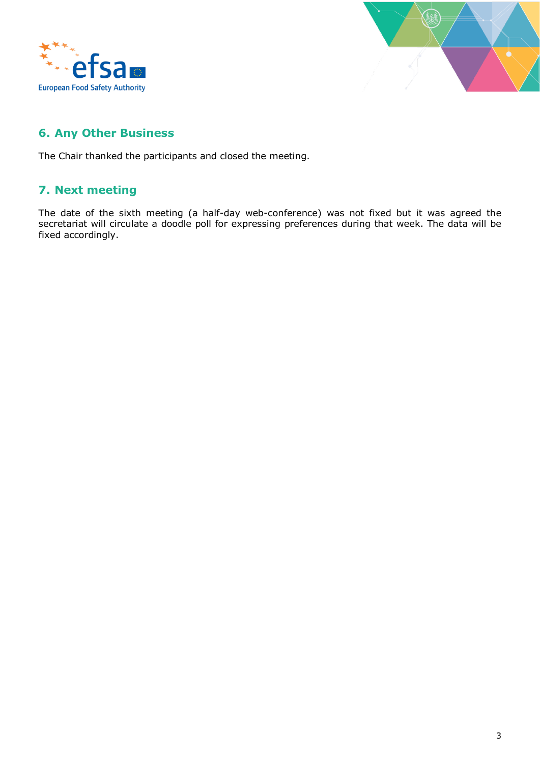



## **6. Any Other Business**

The Chair thanked the participants and closed the meeting.

## **7. Next meeting**

The date of the sixth meeting (a half-day web-conference) was not fixed but it was agreed the secretariat will circulate a doodle poll for expressing preferences during that week. The data will be fixed accordingly.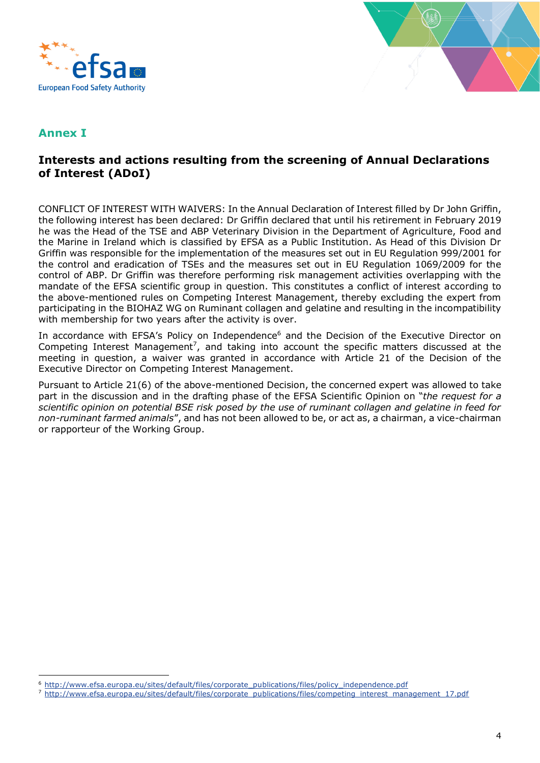



### **Annex I**

### **Interests and actions resulting from the screening of Annual Declarations of Interest (ADoI)**

CONFLICT OF INTEREST WITH WAIVERS: In the Annual Declaration of Interest filled by Dr John Griffin, the following interest has been declared: Dr Griffin declared that until his retirement in February 2019 he was the Head of the TSE and ABP Veterinary Division in the Department of Agriculture, Food and the Marine in Ireland which is classified by EFSA as a Public Institution. As Head of this Division Dr Griffin was responsible for the implementation of the measures set out in EU Regulation 999/2001 for the control and eradication of TSEs and the measures set out in EU Regulation 1069/2009 for the control of ABP. Dr Griffin was therefore performing risk management activities overlapping with the mandate of the EFSA scientific group in question. This constitutes a conflict of interest according to the above-mentioned rules on Competing Interest Management, thereby excluding the expert from participating in the BIOHAZ WG on Ruminant collagen and gelatine and resulting in the incompatibility with membership for two years after the activity is over.

In accordance with EFSA's Policy on Independence<sup>6</sup> and the Decision of the Executive Director on Competing Interest Management<sup>7</sup>, and taking into account the specific matters discussed at the meeting in question, a waiver was granted in accordance with Article 21 of the Decision of the Executive Director on Competing Interest Management.

Pursuant to Article 21(6) of the above-mentioned Decision, the concerned expert was allowed to take part in the discussion and in the drafting phase of the EFSA Scientific Opinion on "*the request for a scientific opinion on potential BSE risk posed by the use of ruminant collagen and gelatine in feed for non-ruminant farmed animals*", and has not been allowed to be, or act as, a chairman, a vice-chairman or rapporteur of the Working Group.

<sup>6</sup> [http://www.efsa.europa.eu/sites/default/files/corporate\\_publications/files/policy\\_independence.pdf](http://www.efsa.europa.eu/sites/default/files/corporate_publications/files/policy_independence.pdf)

<sup>&</sup>lt;sup>7</sup> [http://www.efsa.europa.eu/sites/default/files/corporate\\_publications/files/competing\\_interest\\_management\\_17.pdf](http://www.efsa.europa.eu/sites/default/files/corporate_publications/files/competing_interest_management_17.pdf)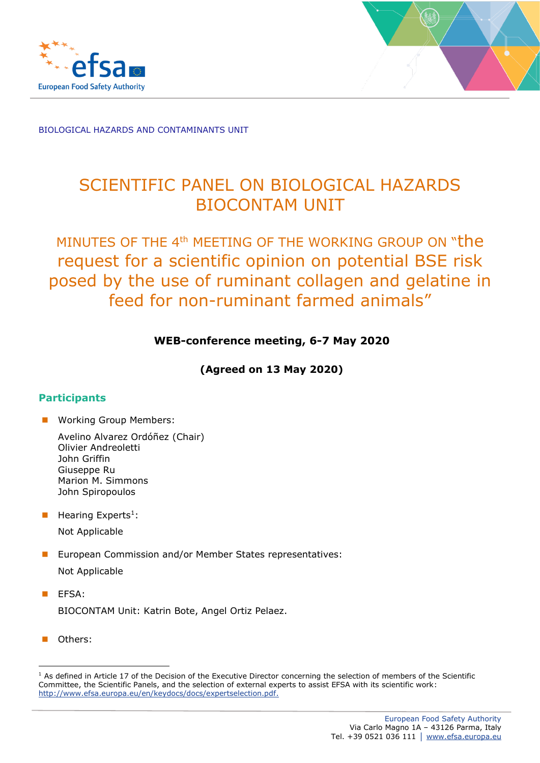



# SCIENTIFIC PANEL ON BIOLOGICAL HAZARDS BIOCONTAM UNIT

# MINUTES OF THE 4<sup>th</sup> MEETING OF THE WORKING GROUP ON "the request for a scientific opinion on potential BSE risk posed by the use of ruminant collagen and gelatine in feed for non-ruminant farmed animals"

#### **WEB-conference meeting, 6-7 May 2020**

**(Agreed on 13 May 2020)**

#### **Participants**

■ Working Group Members:

- $\blacksquare$  Hearing Experts<sup>1</sup>: Not Applicable
- European Commission and/or Member States representatives: Not Applicable
- EFSA: BIOCONTAM Unit: Katrin Bote, Angel Ortiz Pelaez.
- Others:

<sup>&</sup>lt;sup>1</sup> As defined in Article 17 of the Decision of the Executive Director concerning the selection of members of the Scientific Committee, the Scientific Panels, and the selection of external experts to assist EFSA with its scientific work: [http://www.efsa.europa.eu/en/keydocs/docs/expertselection.pdf.](http://www.efsa.europa.eu/en/keydocs/docs/expertselection.pdf)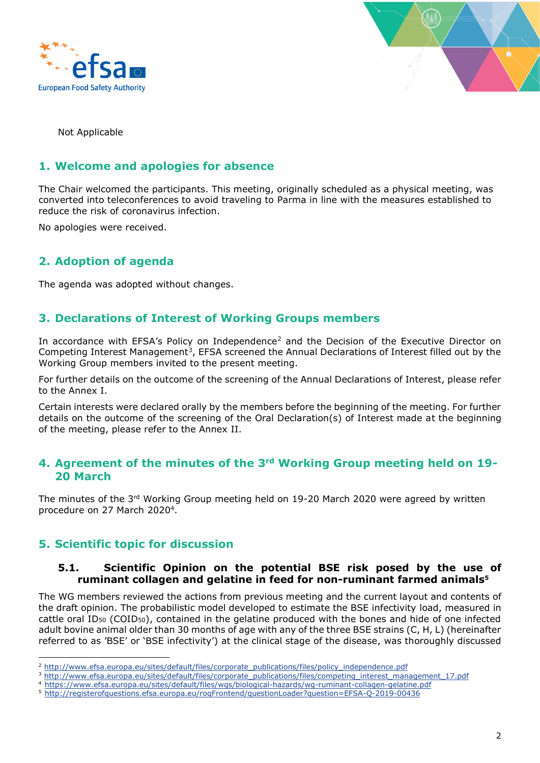



Not Applicable

#### **1. Welcome and apologies for absence**

The Chair welcomed the participants. This meeting, originally scheduled as a physical meeting, was converted into teleconferences to avoid traveling to Parma in line with the measures established to reduce the risk of coronavirus infection.

No apologies were received.

### **2. Adoption of agenda**

The agenda was adopted without changes.

#### **3. Declarations of Interest of Working Groups members**

In accordance with EFSA's Policy on Independence<sup>2</sup> and the Decision of the Executive Director on Competing Interest Management<sup>3</sup>, EFSA screened the Annual Declarations of Interest filled out by the Working Group members invited to the present meeting.

For further details on the outcome of the screening of the Annual Declarations of Interest, please refer to the Annex I.

Certain interests were declared orally by the members before the beginning of the meeting. For further details on the outcome of the screening of the Oral Declaration(s) of Interest made at the beginning of the meeting, please refer to the Annex II.

#### **4. Agreement of the minutes of the 3rd Working Group meeting held on 19- 20 March**

The minutes of the 3<sup>rd</sup> Working Group meeting held on 19-20 March 2020 were agreed by written procedure on 27 March 2020<sup>4</sup>.

#### **5. Scientific topic for discussion**

#### **5.1. Scientific Opinion on the potential BSE risk posed by the use of ruminant collagen and gelatine in feed for non-ruminant farmed animals<sup>5</sup>**

The WG members reviewed the actions from previous meeting and the current layout and contents of the draft opinion. The probabilistic model developed to estimate the BSE infectivity load, measured in cattle oral ID<sub>50</sub> (COID<sub>50</sub>), contained in the gelatine produced with the bones and hide of one infected adult bovine animal older than 30 months of age with any of the three BSE strains (C, H, L) (hereinafter referred to as 'BSE' or 'BSE infectivity') at the clinical stage of the disease, was thoroughly discussed

<sup>&</sup>lt;sup>2</sup> [http://www.efsa.europa.eu/sites/default/files/corporate\\_publications/files/policy\\_independence.pdf](http://www.efsa.europa.eu/sites/default/files/corporate_publications/files/policy_independence.pdf)

<sup>&</sup>lt;sup>3</sup> [http://www.efsa.europa.eu/sites/default/files/corporate\\_publications/files/competing\\_interest\\_management\\_17.pdf](http://www.efsa.europa.eu/sites/default/files/corporate_publications/files/competing_interest_management_17.pdf)

<sup>4</sup> <https://www.efsa.europa.eu/sites/default/files/wgs/biological-hazards/wg-ruminant-collagen-gelatine.pdf>

<sup>5</sup> <http://registerofquestions.efsa.europa.eu/roqFrontend/questionLoader?question=EFSA-Q-2019-00436>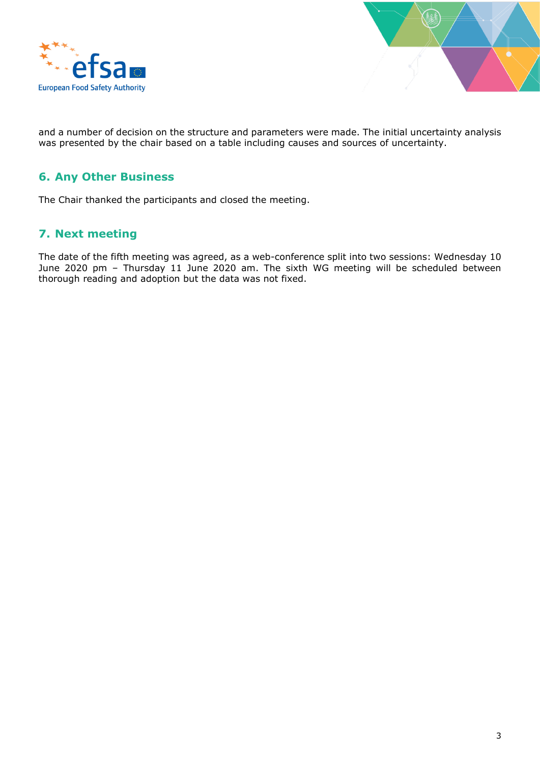



and a number of decision on the structure and parameters were made. The initial uncertainty analysis was presented by the chair based on a table including causes and sources of uncertainty.

#### **6. Any Other Business**

The Chair thanked the participants and closed the meeting.

#### **7. Next meeting**

The date of the fifth meeting was agreed, as a web-conference split into two sessions: Wednesday 10 June 2020 pm – Thursday 11 June 2020 am. The sixth WG meeting will be scheduled between thorough reading and adoption but the data was not fixed.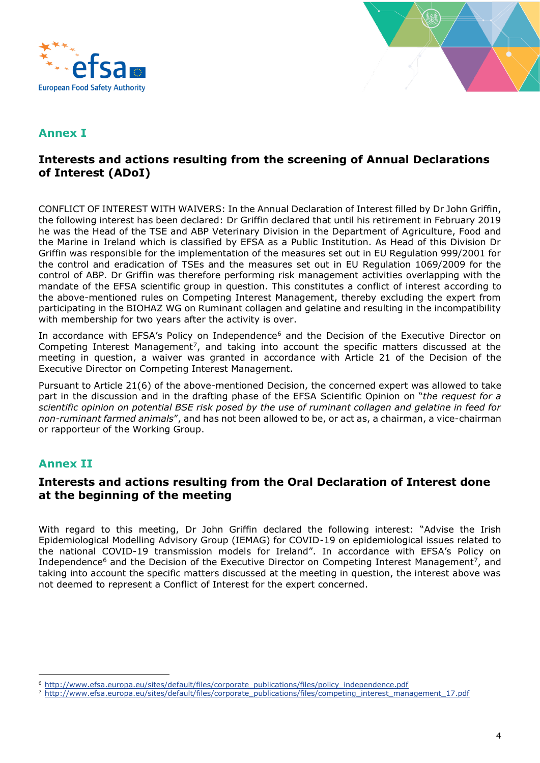



### **Annex I**

#### **Interests and actions resulting from the screening of Annual Declarations of Interest (ADoI)**

CONFLICT OF INTEREST WITH WAIVERS: In the Annual Declaration of Interest filled by Dr John Griffin, the following interest has been declared: Dr Griffin declared that until his retirement in February 2019 he was the Head of the TSE and ABP Veterinary Division in the Department of Agriculture, Food and the Marine in Ireland which is classified by EFSA as a Public Institution. As Head of this Division Dr Griffin was responsible for the implementation of the measures set out in EU Regulation 999/2001 for the control and eradication of TSEs and the measures set out in EU Regulation 1069/2009 for the control of ABP. Dr Griffin was therefore performing risk management activities overlapping with the mandate of the EFSA scientific group in question. This constitutes a conflict of interest according to the above-mentioned rules on Competing Interest Management, thereby excluding the expert from participating in the BIOHAZ WG on Ruminant collagen and gelatine and resulting in the incompatibility with membership for two years after the activity is over.

In accordance with EFSA's Policy on Independence<sup>6</sup> and the Decision of the Executive Director on Competing Interest Management<sup>7</sup>, and taking into account the specific matters discussed at the meeting in question, a waiver was granted in accordance with Article 21 of the Decision of the Executive Director on Competing Interest Management.

Pursuant to Article 21(6) of the above-mentioned Decision, the concerned expert was allowed to take part in the discussion and in the drafting phase of the EFSA Scientific Opinion on "*the request for a scientific opinion on potential BSE risk posed by the use of ruminant collagen and gelatine in feed for non-ruminant farmed animals*", and has not been allowed to be, or act as, a chairman, a vice-chairman or rapporteur of the Working Group.

### **Annex II**

#### **Interests and actions resulting from the Oral Declaration of Interest done at the beginning of the meeting**

With regard to this meeting, Dr John Griffin declared the following interest: "Advise the Irish Epidemiological Modelling Advisory Group (IEMAG) for COVID-19 on epidemiological issues related to the national COVID-19 transmission models for Ireland". In accordance with EFSA's Policy on Independence<sup>6</sup> and the Decision of the Executive Director on Competing Interest Management<sup>7</sup>, and taking into account the specific matters discussed at the meeting in question, the interest above was not deemed to represent a Conflict of Interest for the expert concerned.

<sup>6</sup> [http://www.efsa.europa.eu/sites/default/files/corporate\\_publications/files/policy\\_independence.pdf](http://www.efsa.europa.eu/sites/default/files/corporate_publications/files/policy_independence.pdf)

<sup>&</sup>lt;sup>7</sup> [http://www.efsa.europa.eu/sites/default/files/corporate\\_publications/files/competing\\_interest\\_management\\_17.pdf](http://www.efsa.europa.eu/sites/default/files/corporate_publications/files/competing_interest_management_17.pdf)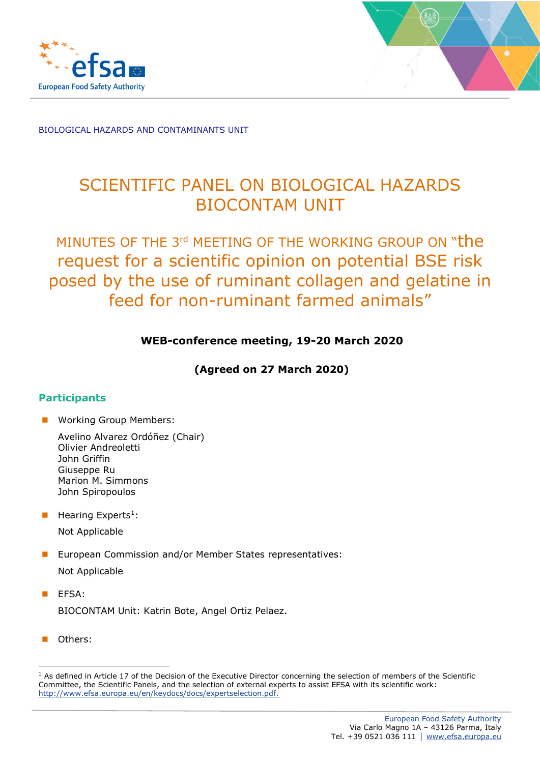



# SCIENTIFIC PANEL ON BIOLOGICAL HAZARDS BIOCONTAM UNIT

# MINUTES OF THE 3<sup>rd</sup> MEETING OF THE WORKING GROUP ON "the request for a scientific opinion on potential BSE risk posed by the use of ruminant collagen and gelatine in feed for non-ruminant farmed animals"

### **WEB-conference meeting, 19-20 March 2020**

**(Agreed on 27 March 2020)**

#### **Participants**

■ Working Group Members:

- $\blacksquare$  Hearing Experts<sup>1</sup>: Not Applicable
- European Commission and/or Member States representatives: Not Applicable
- EFSA: BIOCONTAM Unit: Katrin Bote, Angel Ortiz Pelaez.
- Others:

<sup>&</sup>lt;sup>1</sup> As defined in Article 17 of the Decision of the Executive Director concerning the selection of members of the Scientific Committee, the Scientific Panels, and the selection of external experts to assist EFSA with its scientific work: [http://www.efsa.europa.eu/en/keydocs/docs/expertselection.pdf.](http://www.efsa.europa.eu/en/keydocs/docs/expertselection.pdf)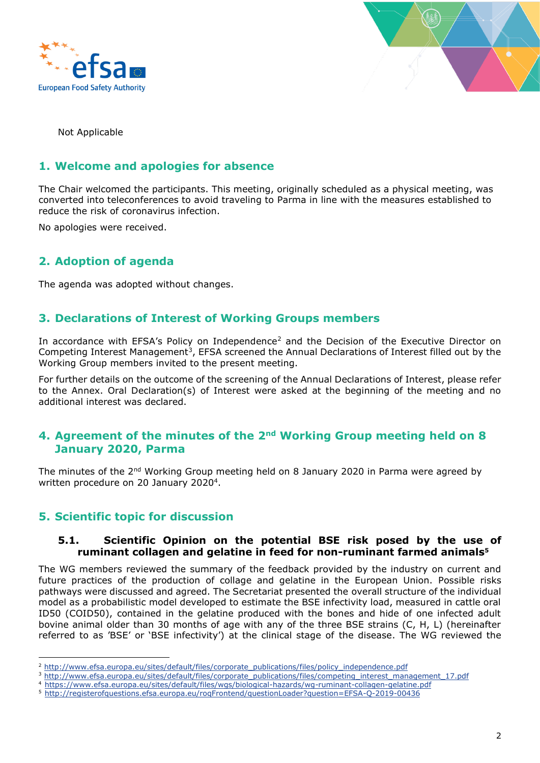



Not Applicable

#### **1. Welcome and apologies for absence**

The Chair welcomed the participants. This meeting, originally scheduled as a physical meeting, was converted into teleconferences to avoid traveling to Parma in line with the measures established to reduce the risk of coronavirus infection.

No apologies were received.

#### **2. Adoption of agenda**

The agenda was adopted without changes.

#### **3. Declarations of Interest of Working Groups members**

In accordance with EFSA's Policy on Independence<sup>2</sup> and the Decision of the Executive Director on Competing Interest Management<sup>3</sup>, EFSA screened the Annual Declarations of Interest filled out by the Working Group members invited to the present meeting.

For further details on the outcome of the screening of the Annual Declarations of Interest, please refer to the Annex. Oral Declaration(s) of Interest were asked at the beginning of the meeting and no additional interest was declared.

#### **4. Agreement of the minutes of the 2nd Working Group meeting held on 8 January 2020, Parma**

The minutes of the 2<sup>nd</sup> Working Group meeting held on 8 January 2020 in Parma were agreed by written procedure on 20 January 2020<sup>4</sup>.

#### **5. Scientific topic for discussion**

#### **5.1. Scientific Opinion on the potential BSE risk posed by the use of ruminant collagen and gelatine in feed for non-ruminant farmed animals<sup>5</sup>**

The WG members reviewed the summary of the feedback provided by the industry on current and future practices of the production of collage and gelatine in the European Union. Possible risks pathways were discussed and agreed. The Secretariat presented the overall structure of the individual model as a probabilistic model developed to estimate the BSE infectivity load, measured in cattle oral ID50 (COID50), contained in the gelatine produced with the bones and hide of one infected adult bovine animal older than 30 months of age with any of the three BSE strains (C, H, L) (hereinafter referred to as 'BSE' or 'BSE infectivity') at the clinical stage of the disease. The WG reviewed the

<sup>&</sup>lt;sup>2</sup> [http://www.efsa.europa.eu/sites/default/files/corporate\\_publications/files/policy\\_independence.pdf](http://www.efsa.europa.eu/sites/default/files/corporate_publications/files/policy_independence.pdf)

<sup>&</sup>lt;sup>3</sup> [http://www.efsa.europa.eu/sites/default/files/corporate\\_publications/files/competing\\_interest\\_management\\_17.pdf](http://www.efsa.europa.eu/sites/default/files/corporate_publications/files/competing_interest_management_17.pdf)

<sup>4</sup> <https://www.efsa.europa.eu/sites/default/files/wgs/biological-hazards/wg-ruminant-collagen-gelatine.pdf>

<sup>5</sup> <http://registerofquestions.efsa.europa.eu/roqFrontend/questionLoader?question=EFSA-Q-2019-00436>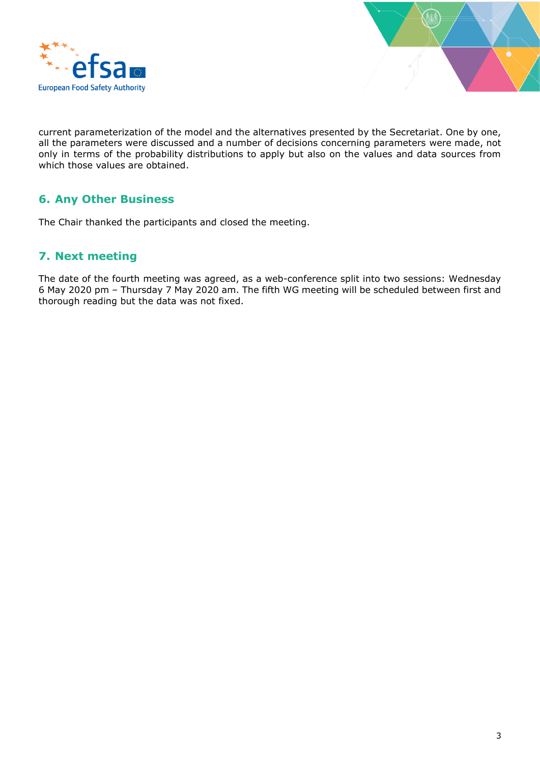



current parameterization of the model and the alternatives presented by the Secretariat. One by one, all the parameters were discussed and a number of decisions concerning parameters were made, not only in terms of the probability distributions to apply but also on the values and data sources from which those values are obtained.

## **6. Any Other Business**

The Chair thanked the participants and closed the meeting.

#### **7. Next meeting**

The date of the fourth meeting was agreed, as a web-conference split into two sessions: Wednesday 6 May 2020 pm – Thursday 7 May 2020 am. The fifth WG meeting will be scheduled between first and thorough reading but the data was not fixed.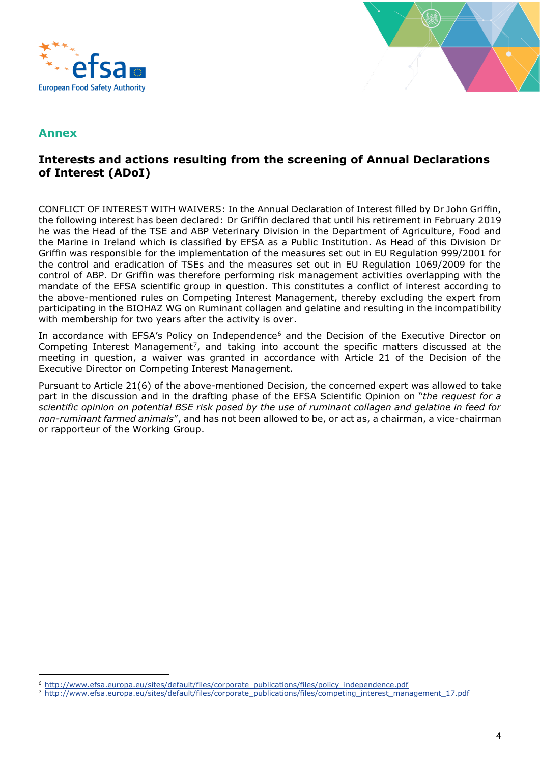



#### **Annex**

#### **Interests and actions resulting from the screening of Annual Declarations of Interest (ADoI)**

CONFLICT OF INTEREST WITH WAIVERS: In the Annual Declaration of Interest filled by Dr John Griffin, the following interest has been declared: Dr Griffin declared that until his retirement in February 2019 he was the Head of the TSE and ABP Veterinary Division in the Department of Agriculture, Food and the Marine in Ireland which is classified by EFSA as a Public Institution. As Head of this Division Dr Griffin was responsible for the implementation of the measures set out in EU Regulation 999/2001 for the control and eradication of TSEs and the measures set out in EU Regulation 1069/2009 for the control of ABP. Dr Griffin was therefore performing risk management activities overlapping with the mandate of the EFSA scientific group in question. This constitutes a conflict of interest according to the above-mentioned rules on Competing Interest Management, thereby excluding the expert from participating in the BIOHAZ WG on Ruminant collagen and gelatine and resulting in the incompatibility with membership for two years after the activity is over.

In accordance with EFSA's Policy on Independence<sup>6</sup> and the Decision of the Executive Director on Competing Interest Management<sup>7</sup>, and taking into account the specific matters discussed at the meeting in question, a waiver was granted in accordance with Article 21 of the Decision of the Executive Director on Competing Interest Management.

Pursuant to Article 21(6) of the above-mentioned Decision, the concerned expert was allowed to take part in the discussion and in the drafting phase of the EFSA Scientific Opinion on "*the request for a scientific opinion on potential BSE risk posed by the use of ruminant collagen and gelatine in feed for non-ruminant farmed animals*", and has not been allowed to be, or act as, a chairman, a vice-chairman or rapporteur of the Working Group.

<sup>6</sup> [http://www.efsa.europa.eu/sites/default/files/corporate\\_publications/files/policy\\_independence.pdf](http://www.efsa.europa.eu/sites/default/files/corporate_publications/files/policy_independence.pdf)

<sup>&</sup>lt;sup>7</sup> [http://www.efsa.europa.eu/sites/default/files/corporate\\_publications/files/competing\\_interest\\_management\\_17.pdf](http://www.efsa.europa.eu/sites/default/files/corporate_publications/files/competing_interest_management_17.pdf)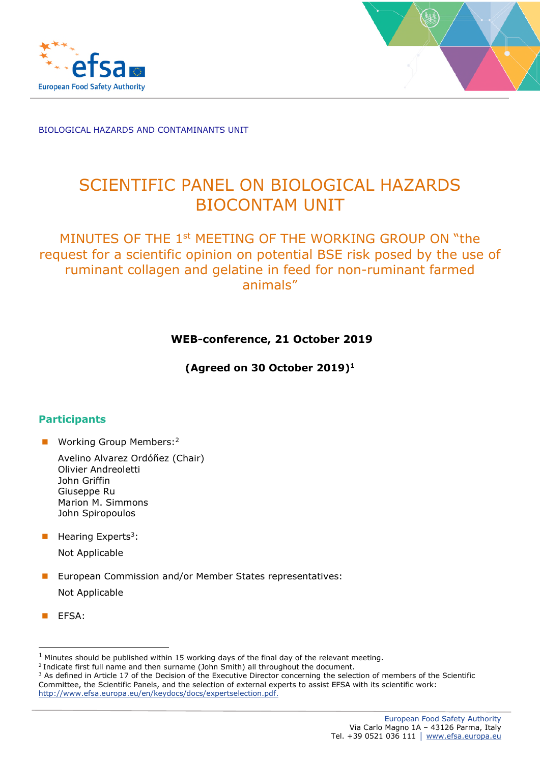



# SCIENTIFIC PANEL ON BIOLOGICAL HAZARDS BIOCONTAM UNIT

## MINUTES OF THE 1st MEETING OF THE WORKING GROUP ON "the request for a scientific opinion on potential BSE risk posed by the use of ruminant collagen and gelatine in feed for non-ruminant farmed animals"

#### **WEB-conference, 21 October 2019**

**(Agreed on 30 October 2019)<sup>1</sup>**

#### **Participants**

**Working Group Members:**<sup>2</sup>

Avelino Alvarez Ordóñez (Chair) Olivier Andreoletti John Griffin Giuseppe Ru Marion M. Simmons John Spiropoulos

 $\blacksquare$  Hearing Experts<sup>3</sup>: Not Applicable

- **EU European Commission and/or Member States representatives:** Not Applicable
- **EFSA:**

 $1$  Minutes should be published within 15 working days of the final day of the relevant meeting.

<sup>&</sup>lt;sup>2</sup> Indicate first full name and then surname (John Smith) all throughout the document.

<sup>&</sup>lt;sup>3</sup> As defined in Article 17 of the Decision of the Executive Director concerning the selection of members of the Scientific Committee, the Scientific Panels, and the selection of external experts to assist EFSA with its scientific work: http://www.efsa.europa.eu/en/keydocs/docs/expertselection.pdf.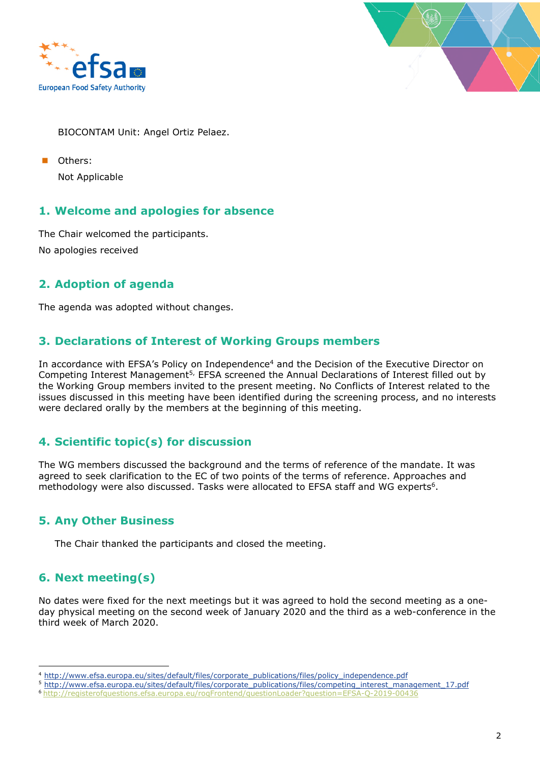



BIOCONTAM Unit: Angel Ortiz Pelaez.

 Others: Not Applicable

#### **1. Welcome and apologies for absence**

The Chair welcomed the participants. No apologies received

### **2. Adoption of agenda**

The agenda was adopted without changes.

#### **3. Declarations of Interest of Working Groups members**

In accordance with EFSA's Policy on Independence<sup>4</sup> and the Decision of the Executive Director on Competing Interest Management<sup>5,</sup> EFSA screened the Annual Declarations of Interest filled out by the Working Group members invited to the present meeting. No Conflicts of Interest related to the issues discussed in this meeting have been identified during the screening process, and no interests were declared orally by the members at the beginning of this meeting.

### **4. Scientific topic(s) for discussion**

The WG members discussed the background and the terms of reference of the mandate. It was agreed to seek clarification to the EC of two points of the terms of reference. Approaches and methodology were also discussed. Tasks were allocated to EFSA staff and WG experts<sup>6</sup>.

#### **5. Any Other Business**

The Chair thanked the participants and closed the meeting.

#### **6. Next meeting(s)**

No dates were fixed for the next meetings but it was agreed to hold the second meeting as a oneday physical meeting on the second week of January 2020 and the third as a web-conference in the third week of March 2020.

<sup>4</sup> http://www.efsa.europa.eu/sites/default/files/corporate\_publications/files/policy\_independence.pdf

<sup>5</sup> http://www.efsa.europa.eu/sites/default/files/corporate\_publications/files/competing\_interest\_management\_17.pdf

<sup>6</sup> http://registerofquestions.efsa.europa.eu/roqFrontend/questionLoader?question=EFSA-Q-2019-00436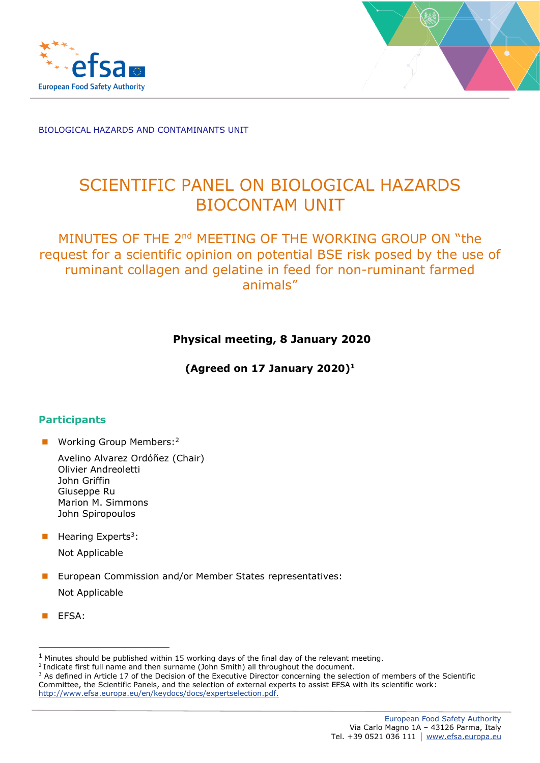



# SCIENTIFIC PANEL ON BIOLOGICAL HAZARDS BIOCONTAM UNIT

## MINUTES OF THE 2<sup>nd</sup> MEETING OF THE WORKING GROUP ON "the request for a scientific opinion on potential BSE risk posed by the use of ruminant collagen and gelatine in feed for non-ruminant farmed animals"

### **Physical meeting, 8 January 2020**

**(Agreed on 17 January 2020) 1**

#### **Participants**

■ Working Group Members:<sup>2</sup>

- $\blacksquare$  Hearing Experts<sup>3</sup>: Not Applicable
- European Commission and/or Member States representatives: Not Applicable
- EFSA:

 $1$  Minutes should be published within 15 working days of the final day of the relevant meeting.

<sup>&</sup>lt;sup>2</sup> Indicate first full name and then surname (John Smith) all throughout the document.

<sup>&</sup>lt;sup>3</sup> As defined in Article 17 of the Decision of the Executive Director concerning the selection of members of the Scientific Committee, the Scientific Panels, and the selection of external experts to assist EFSA with its scientific work: [http://www.efsa.europa.eu/en/keydocs/docs/expertselection.pdf.](http://www.efsa.europa.eu/en/keydocs/docs/expertselection.pdf)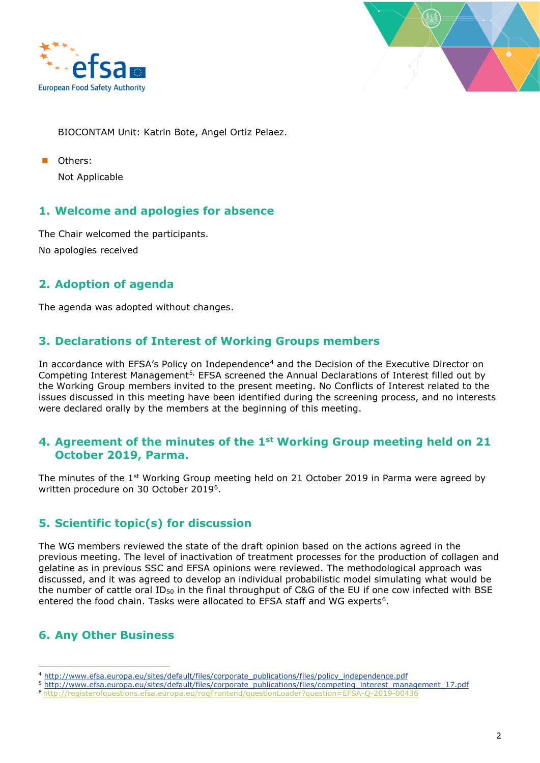



BIOCONTAM Unit: Katrin Bote, Angel Ortiz Pelaez.

Others: Not Applicable

#### **1. Welcome and apologies for absence**

The Chair welcomed the participants. No apologies received

### **2. Adoption of agenda**

The agenda was adopted without changes.

#### **3. Declarations of Interest of Working Groups members**

In accordance with EFSA's Policy on Independence<sup>4</sup> and the Decision of the Executive Director on Competing Interest Management<sup>5,</sup> EFSA screened the Annual Declarations of Interest filled out by the Working Group members invited to the present meeting. No Conflicts of Interest related to the issues discussed in this meeting have been identified during the screening process, and no interests were declared orally by the members at the beginning of this meeting.

#### **4. Agreement of the minutes of the 1st Working Group meeting held on 21 October 2019, Parma.**

The minutes of the 1<sup>st</sup> Working Group meeting held on 21 October 2019 in Parma were agreed by written procedure on 30 October 2019<sup>6</sup>.

### **5. Scientific topic(s) for discussion**

The WG members reviewed the state of the draft opinion based on the actions agreed in the previous meeting. The level of inactivation of treatment processes for the production of collagen and gelatine as in previous SSC and EFSA opinions were reviewed. The methodological approach was discussed, and it was agreed to develop an individual probabilistic model simulating what would be the number of cattle oral ID<sub>50</sub> in the final throughput of C&G of the EU if one cow infected with BSE entered the food chain. Tasks were allocated to EFSA staff and WG experts $6$ .

## **6. Any Other Business**

<sup>4</sup> [http://www.efsa.europa.eu/sites/default/files/corporate\\_publications/files/policy\\_independence.pdf](http://www.efsa.europa.eu/sites/default/files/corporate_publications/files/policy_independence.pdf)

<sup>5</sup> [http://www.efsa.europa.eu/sites/default/files/corporate\\_publications/files/competing\\_interest\\_management\\_17.pdf](http://www.efsa.europa.eu/sites/default/files/corporate_publications/files/competing_interest_management_17.pdf)

<sup>6</sup> <http://registerofquestions.efsa.europa.eu/roqFrontend/questionLoader?question=EFSA-Q-2019-00436>